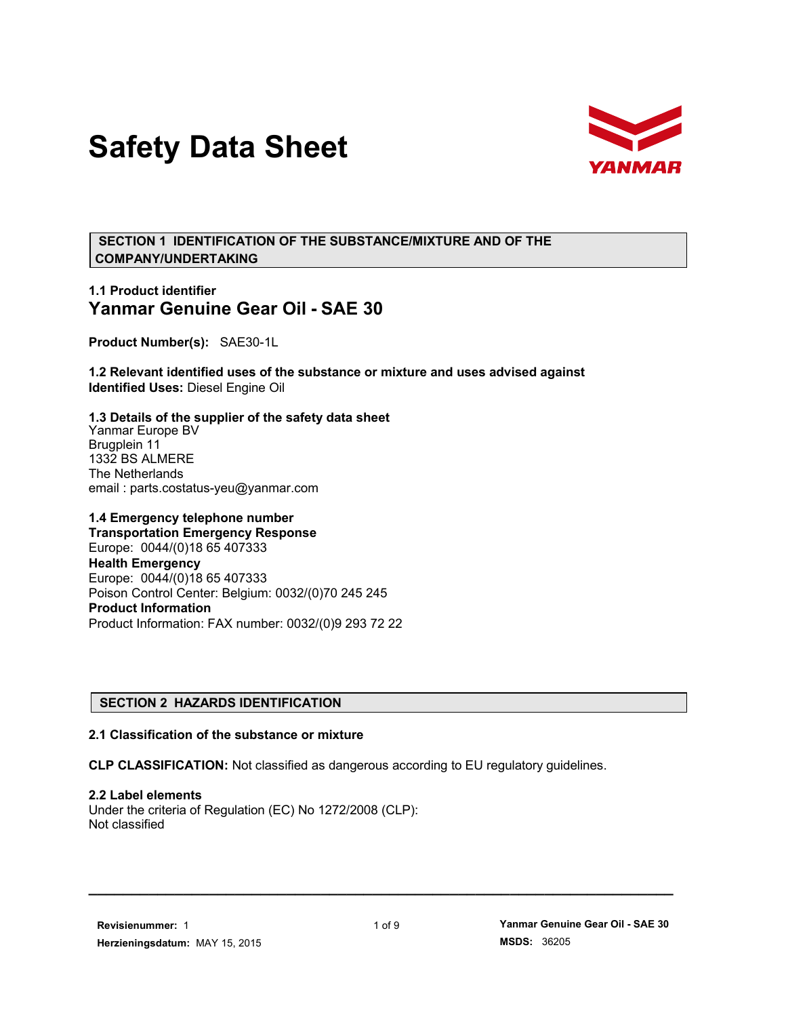# **Safety Data Sheet**



 **SECTION 1 IDENTIFICATION OF THE SUBSTANCE/MIXTURE AND OF THE COMPANY/UNDERTAKING**

# **1.1 Product identifier Yanmar Genuine Gear Oil - SAE 30**

**Product Number(s):** SAE30-1L

**1.2 Relevant identified uses of the substance or mixture and uses advised against Identified Uses:** Diesel Engine Oil

**1.3 Details of the supplier of the safety data sheet** Yanmar Europe BV Brugplein 11 1332 BS ALMERE The Netherlands email : parts.costatus-yeu@yanmar.com

**1.4 Emergency telephone number Transportation Emergency Response** Europe: 0044/(0)18 65 407333 **Health Emergency** Europe: 0044/(0)18 65 407333 Poison Control Center: Belgium: 0032/(0)70 245 245 **Product Information** Product Information: FAX number: 0032/(0)9 293 72 22

# **SECTION 2 HAZARDS IDENTIFICATION**

#### **2.1 Classification of the substance or mixture**

**CLP CLASSIFICATION:** Not classified as dangerous according to EU regulatory guidelines.

**2.2 Label elements** Under the criteria of Regulation (EC) No 1272/2008 (CLP): Not classified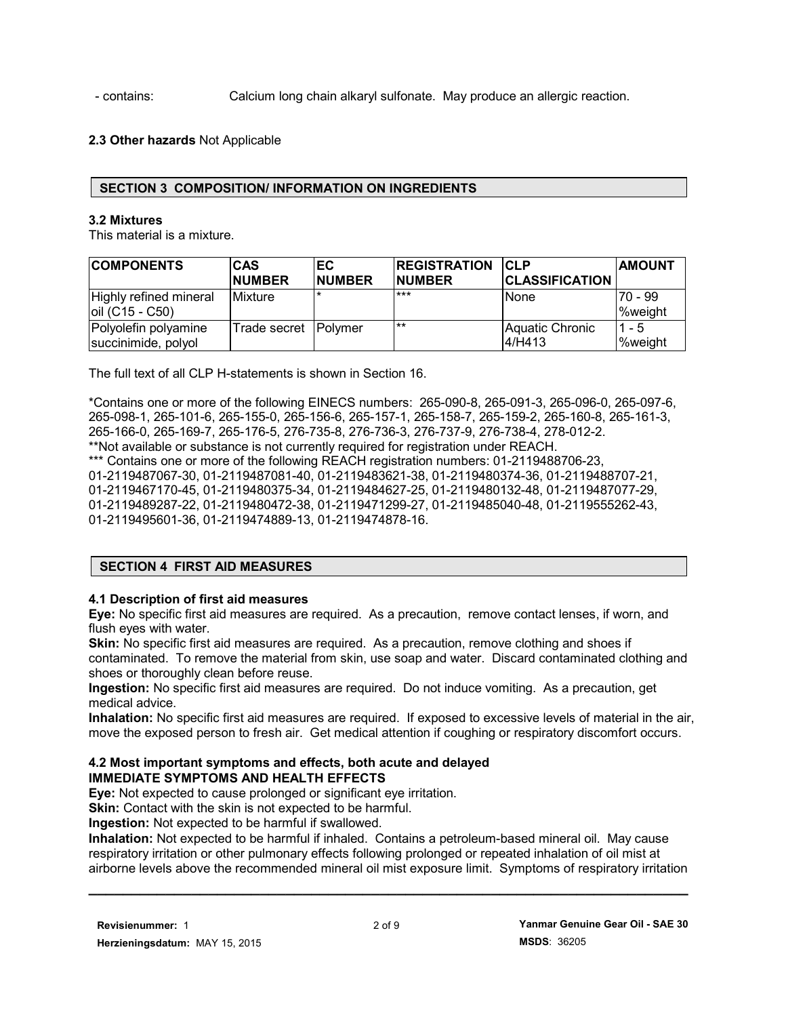- contains: Calcium long chain alkaryl sulfonate. May produce an allergic reaction.

# **2.3 Other hazards** Not Applicable

## **SECTION 3 COMPOSITION/ INFORMATION ON INGREDIENTS**

#### **3.2 Mixtures**

This material is a mixture.

| <b>COMPONENTS</b>                           | <b>CAS</b>             | EC.           | <b>REGISTRATION</b> | <b>CLP</b>                | <b>AMOUNT</b>             |
|---------------------------------------------|------------------------|---------------|---------------------|---------------------------|---------------------------|
|                                             | <b>NUMBER</b>          | <b>NUMBER</b> | <b>NUMBER</b>       | <b>CLASSIFICATION</b>     |                           |
| Highly refined mineral<br>oil (C15 - C50)   | <b>Mixture</b>         |               | $***$               | <b>None</b>               | 70 - 99<br><b>%weight</b> |
| Polyolefin polyamine<br>succinimide, polyol | Trade secret   Polymer |               | $***$               | Aquatic Chronic<br>4/H413 | $1 - 5$<br><b>%weight</b> |

The full text of all CLP H-statements is shown in Section 16.

\*Contains one or more of the following EINECS numbers: 265-090-8, 265-091-3, 265-096-0, 265-097-6, 265-098-1, 265-101-6, 265-155-0, 265-156-6, 265-157-1, 265-158-7, 265-159-2, 265-160-8, 265-161-3, 265-166-0, 265-169-7, 265-176-5, 276-735-8, 276-736-3, 276-737-9, 276-738-4, 278-012-2. \*\*Not available or substance is not currently required for registration under REACH. \*\*\* Contains one or more of the following REACH registration numbers: 01-2119488706-23, 01-2119487067-30, 01-2119487081-40, 01-2119483621-38, 01-2119480374-36, 01-2119488707-21,

01-2119467170-45, 01-2119480375-34, 01-2119484627-25, 01-2119480132-48, 01-2119487077-29, 01-2119489287-22, 01-2119480472-38, 01-2119471299-27, 01-2119485040-48, 01-2119555262-43, 01-2119495601-36, 01-2119474889-13, 01-2119474878-16.

# **SECTION 4 FIRST AID MEASURES**

#### **4.1 Description of first aid measures**

**Eye:** No specific first aid measures are required. As a precaution, remove contact lenses, if worn, and flush eyes with water.

**Skin:** No specific first aid measures are required. As a precaution, remove clothing and shoes if contaminated. To remove the material from skin, use soap and water. Discard contaminated clothing and shoes or thoroughly clean before reuse.

**Ingestion:** No specific first aid measures are required. Do not induce vomiting. As a precaution, get medical advice.

**Inhalation:** No specific first aid measures are required. If exposed to excessive levels of material in the air, move the exposed person to fresh air. Get medical attention if coughing or respiratory discomfort occurs.

#### **4.2 Most important symptoms and effects, both acute and delayed IMMEDIATE SYMPTOMS AND HEALTH EFFECTS**

**Eye:** Not expected to cause prolonged or significant eye irritation.

**Skin:** Contact with the skin is not expected to be harmful.

**Ingestion:** Not expected to be harmful if swallowed.

**Inhalation:** Not expected to be harmful if inhaled. Contains a petroleum-based mineral oil. May cause respiratory irritation or other pulmonary effects following prolonged or repeated inhalation of oil mist at airborne levels above the recommended mineral oil mist exposure limit. Symptoms of respiratory irritation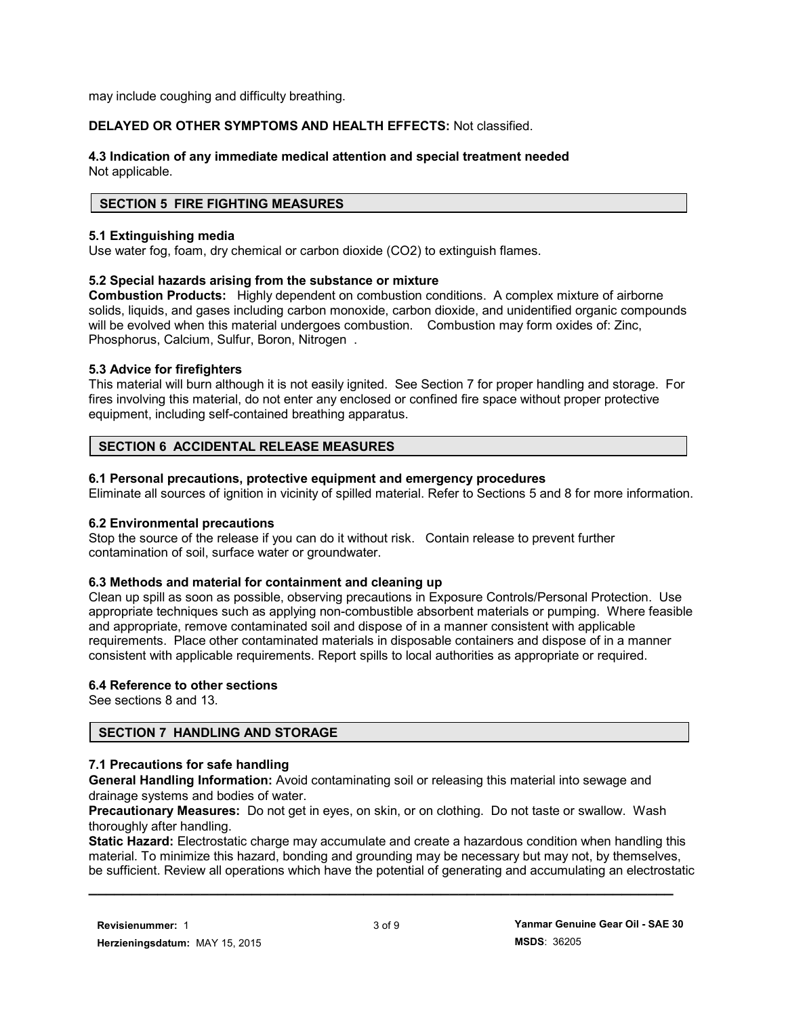may include coughing and difficulty breathing.

## **DELAYED OR OTHER SYMPTOMS AND HEALTH EFFECTS:** Not classified.

#### **4.3 Indication of any immediate medical attention and special treatment needed** Not applicable.

## **SECTION 5 FIRE FIGHTING MEASURES**

#### **5.1 Extinguishing media**

Use water fog, foam, dry chemical or carbon dioxide (CO2) to extinguish flames.

## **5.2 Special hazards arising from the substance or mixture**

**Combustion Products:** Highly dependent on combustion conditions. A complex mixture of airborne solids, liquids, and gases including carbon monoxide, carbon dioxide, and unidentified organic compounds will be evolved when this material undergoes combustion. Combustion may form oxides of: Zinc, Phosphorus, Calcium, Sulfur, Boron, Nitrogen .

## **5.3 Advice for firefighters**

This material will burn although it is not easily ignited. See Section 7 for proper handling and storage. For fires involving this material, do not enter any enclosed or confined fire space without proper protective equipment, including self-contained breathing apparatus.

## **SECTION 6 ACCIDENTAL RELEASE MEASURES**

# **6.1 Personal precautions, protective equipment and emergency procedures**

Eliminate all sources of ignition in vicinity of spilled material. Refer to Sections 5 and 8 for more information.

#### **6.2 Environmental precautions**

Stop the source of the release if you can do it without risk. Contain release to prevent further contamination of soil, surface water or groundwater.

#### **6.3 Methods and material for containment and cleaning up**

Clean up spill as soon as possible, observing precautions in Exposure Controls/Personal Protection. Use appropriate techniques such as applying non-combustible absorbent materials or pumping. Where feasible and appropriate, remove contaminated soil and dispose of in a manner consistent with applicable requirements. Place other contaminated materials in disposable containers and dispose of in a manner consistent with applicable requirements. Report spills to local authorities as appropriate or required.

#### **6.4 Reference to other sections**

See sections 8 and 13.

# **SECTION 7 HANDLING AND STORAGE**

# **7.1 Precautions for safe handling**

**General Handling Information:** Avoid contaminating soil or releasing this material into sewage and drainage systems and bodies of water.

**Precautionary Measures:** Do not get in eyes, on skin, or on clothing. Do not taste or swallow. Wash thoroughly after handling.

**Static Hazard:** Electrostatic charge may accumulate and create a hazardous condition when handling this material. To minimize this hazard, bonding and grounding may be necessary but may not, by themselves, be sufficient. Review all operations which have the potential of generating and accumulating an electrostatic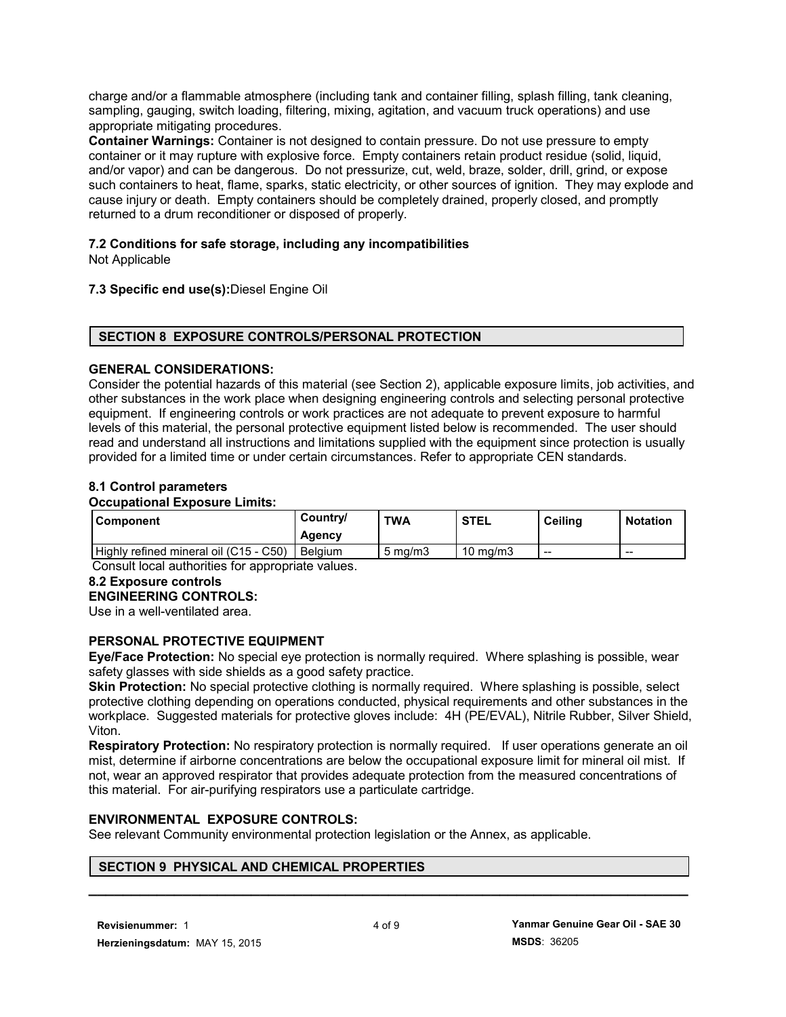charge and/or a flammable atmosphere (including tank and container filling, splash filling, tank cleaning, sampling, gauging, switch loading, filtering, mixing, agitation, and vacuum truck operations) and use appropriate mitigating procedures.

**Container Warnings:** Container is not designed to contain pressure. Do not use pressure to empty container or it may rupture with explosive force. Empty containers retain product residue (solid, liquid, and/or vapor) and can be dangerous. Do not pressurize, cut, weld, braze, solder, drill, grind, or expose such containers to heat, flame, sparks, static electricity, or other sources of ignition. They may explode and cause injury or death. Empty containers should be completely drained, properly closed, and promptly returned to a drum reconditioner or disposed of properly.

# **7.2 Conditions for safe storage, including any incompatibilities**

Not Applicable

## **7.3 Specific end use(s):**Diesel Engine Oil

## **SECTION 8 EXPOSURE CONTROLS/PERSONAL PROTECTION**

## **GENERAL CONSIDERATIONS:**

Consider the potential hazards of this material (see Section 2), applicable exposure limits, job activities, and other substances in the work place when designing engineering controls and selecting personal protective equipment. If engineering controls or work practices are not adequate to prevent exposure to harmful levels of this material, the personal protective equipment listed below is recommended. The user should read and understand all instructions and limitations supplied with the equipment since protection is usually provided for a limited time or under certain circumstances. Refer to appropriate CEN standards.

## **8.1 Control parameters**

#### **Occupational Exposure Limits:**

| Component                              | Country/<br>Agency | TWA              | <b>STEL</b> | Ceilina | <b>Notation</b> |
|----------------------------------------|--------------------|------------------|-------------|---------|-----------------|
| Highly refined mineral oil (C15 - C50) | <b>Belgium</b>     | $5 \text{ ma/m}$ | 10 mg/m3    | $- -$   | $- -$           |

Consult local authorities for appropriate values.

#### **8.2 Exposure controls**

#### **ENGINEERING CONTROLS:**

Use in a well-ventilated area.

## **PERSONAL PROTECTIVE EQUIPMENT**

**Eye/Face Protection:** No special eye protection is normally required. Where splashing is possible, wear safety glasses with side shields as a good safety practice.

**Skin Protection:** No special protective clothing is normally required. Where splashing is possible, select protective clothing depending on operations conducted, physical requirements and other substances in the workplace. Suggested materials for protective gloves include: 4H (PE/EVAL), Nitrile Rubber, Silver Shield, Viton.

**Respiratory Protection:** No respiratory protection is normally required. If user operations generate an oil mist, determine if airborne concentrations are below the occupational exposure limit for mineral oil mist. If not, wear an approved respirator that provides adequate protection from the measured concentrations of this material. For air-purifying respirators use a particulate cartridge.

## **ENVIRONMENTAL EXPOSURE CONTROLS:**

See relevant Community environmental protection legislation or the Annex, as applicable.

# **SECTION 9 PHYSICAL AND CHEMICAL PROPERTIES**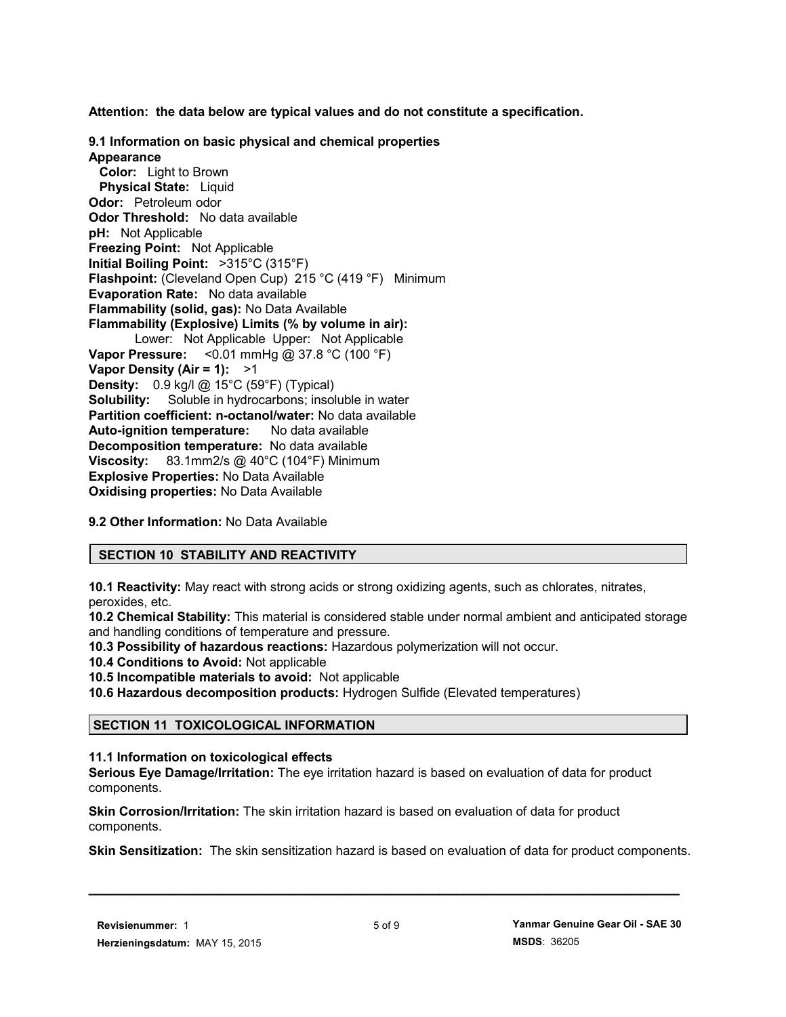**Attention: the data below are typical values and do not constitute a specification.**

**9.1 Information on basic physical and chemical properties Appearance Color:** Light to Brown  **Physical State:** Liquid **Odor:** Petroleum odor **Odor Threshold:** No data available **pH:** Not Applicable **Freezing Point:** Not Applicable **Initial Boiling Point:** >315°C (315°F) **Flashpoint:** (Cleveland Open Cup) 215 °C (419 °F) Minimum **Evaporation Rate:** No data available **Flammability (solid, gas):** No Data Available **Flammability (Explosive) Limits (% by volume in air):** Lower: Not Applicable Upper: Not Applicable **Vapor Pressure:** <0.01 mmHg @ 37.8 °C (100 °F) **Vapor Density (Air = 1):** >1 **Density:** 0.9 kg/l @ 15°C (59°F) (Typical) **Solubility:** Soluble in hydrocarbons; insoluble in water **Partition coefficient: n-octanol/water:** No data available **Auto-ignition temperature:** No data available **Decomposition temperature:** No data available **Viscosity:** 83.1mm2/s @ 40°C (104°F) Minimum **Explosive Properties:** No Data Available **Oxidising properties:** No Data Available

**9.2 Other Information:** No Data Available

# **SECTION 10 STABILITY AND REACTIVITY**

**10.1 Reactivity:** May react with strong acids or strong oxidizing agents, such as chlorates, nitrates, peroxides, etc.

**10.2 Chemical Stability:** This material is considered stable under normal ambient and anticipated storage and handling conditions of temperature and pressure.

**10.3 Possibility of hazardous reactions:** Hazardous polymerization will not occur.

**10.4 Conditions to Avoid:** Not applicable

**10.5 Incompatible materials to avoid:** Not applicable

**10.6 Hazardous decomposition products:** Hydrogen Sulfide (Elevated temperatures)

# **SECTION 11 TOXICOLOGICAL INFORMATION**

# **11.1 Information on toxicological effects**

**Serious Eye Damage/Irritation:** The eye irritation hazard is based on evaluation of data for product components.

**Skin Corrosion/Irritation:** The skin irritation hazard is based on evaluation of data for product components.

**Skin Sensitization:** The skin sensitization hazard is based on evaluation of data for product components.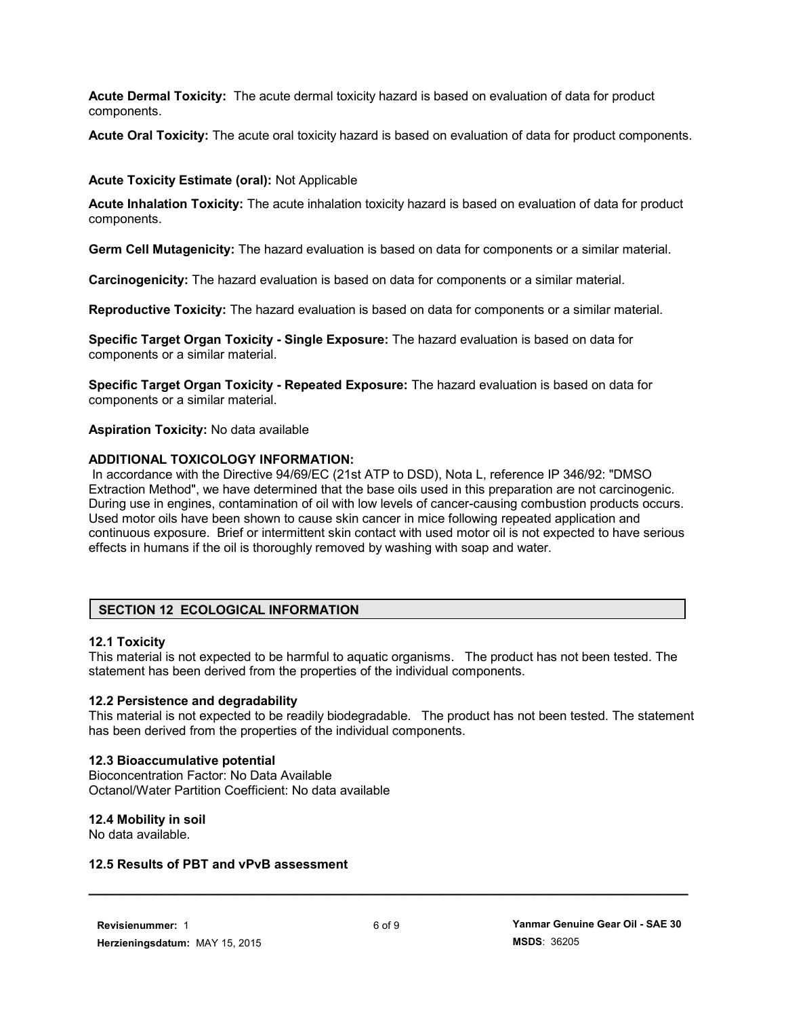**Acute Dermal Toxicity:** The acute dermal toxicity hazard is based on evaluation of data for product components.

**Acute Oral Toxicity:** The acute oral toxicity hazard is based on evaluation of data for product components.

## **Acute Toxicity Estimate (oral):** Not Applicable

**Acute Inhalation Toxicity:** The acute inhalation toxicity hazard is based on evaluation of data for product components.

**Germ Cell Mutagenicity:** The hazard evaluation is based on data for components or a similar material.

**Carcinogenicity:** The hazard evaluation is based on data for components or a similar material.

**Reproductive Toxicity:** The hazard evaluation is based on data for components or a similar material.

**Specific Target Organ Toxicity - Single Exposure:** The hazard evaluation is based on data for components or a similar material.

**Specific Target Organ Toxicity - Repeated Exposure:** The hazard evaluation is based on data for components or a similar material.

**Aspiration Toxicity:** No data available

## **ADDITIONAL TOXICOLOGY INFORMATION:**

 In accordance with the Directive 94/69/EC (21st ATP to DSD), Nota L, reference IP 346/92: "DMSO Extraction Method", we have determined that the base oils used in this preparation are not carcinogenic. During use in engines, contamination of oil with low levels of cancer-causing combustion products occurs. Used motor oils have been shown to cause skin cancer in mice following repeated application and continuous exposure. Brief or intermittent skin contact with used motor oil is not expected to have serious effects in humans if the oil is thoroughly removed by washing with soap and water.

# **SECTION 12 ECOLOGICAL INFORMATION**

#### **12.1 Toxicity**

This material is not expected to be harmful to aquatic organisms. The product has not been tested. The statement has been derived from the properties of the individual components.

#### **12.2 Persistence and degradability**

This material is not expected to be readily biodegradable. The product has not been tested. The statement has been derived from the properties of the individual components.

#### **12.3 Bioaccumulative potential**

Bioconcentration Factor: No Data Available Octanol/Water Partition Coefficient: No data available

# **12.4 Mobility in soil**

No data available.

#### **12.5 Results of PBT and vPvB assessment**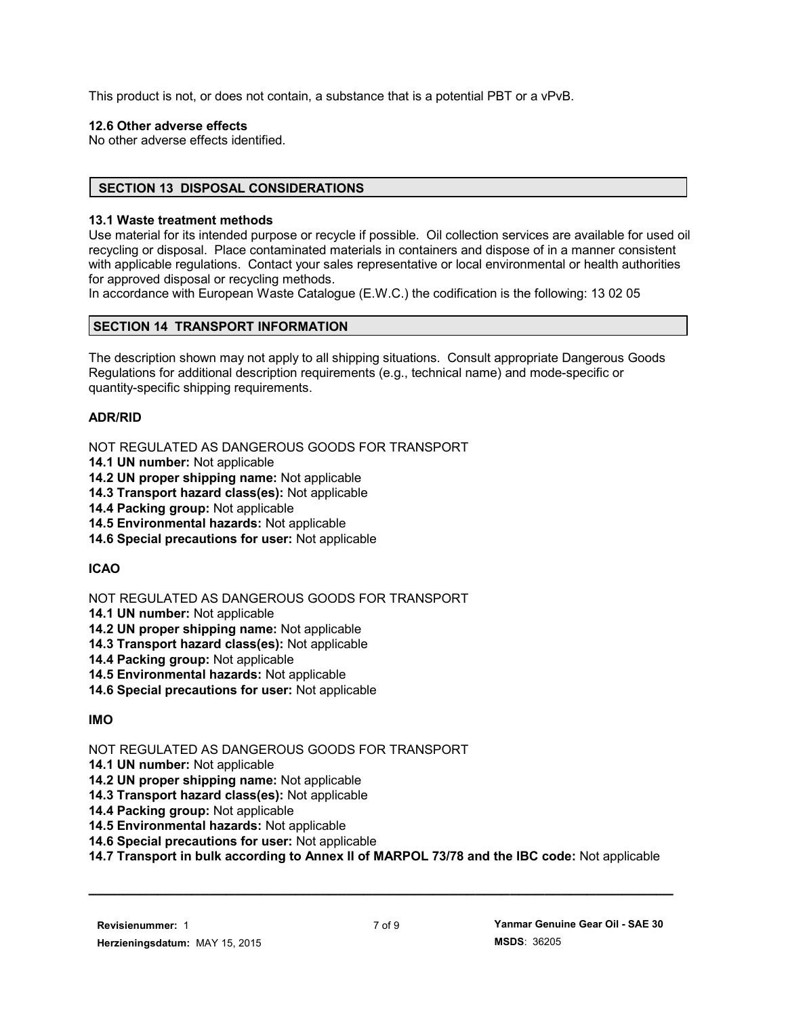This product is not, or does not contain, a substance that is a potential PBT or a vPvB.

# **12.6 Other adverse effects**

No other adverse effects identified.

# **SECTION 13 DISPOSAL CONSIDERATIONS**

# **13.1 Waste treatment methods**

Use material for its intended purpose or recycle if possible. Oil collection services are available for used oil recycling or disposal. Place contaminated materials in containers and dispose of in a manner consistent with applicable regulations. Contact your sales representative or local environmental or health authorities for approved disposal or recycling methods.

In accordance with European Waste Catalogue (E.W.C.) the codification is the following: 13 02 05

# **SECTION 14 TRANSPORT INFORMATION**

The description shown may not apply to all shipping situations. Consult appropriate Dangerous Goods Regulations for additional description requirements (e.g., technical name) and mode-specific or quantity-specific shipping requirements.

# **ADR/RID**

NOT REGULATED AS DANGEROUS GOODS FOR TRANSPORT

- **14.1 UN number:** Not applicable
- **14.2 UN proper shipping name:** Not applicable
- **14.3 Transport hazard class(es):** Not applicable
- **14.4 Packing group:** Not applicable
- **14.5 Environmental hazards:** Not applicable
- **14.6 Special precautions for user:** Not applicable

# **ICAO**

NOT REGULATED AS DANGEROUS GOODS FOR TRANSPORT

- **14.1 UN number:** Not applicable
- **14.2 UN proper shipping name:** Not applicable
- **14.3 Transport hazard class(es):** Not applicable
- **14.4 Packing group:** Not applicable
- **14.5 Environmental hazards:** Not applicable
- **14.6 Special precautions for user:** Not applicable

# **IMO**

# NOT REGULATED AS DANGEROUS GOODS FOR TRANSPORT

- **14.1 UN number:** Not applicable
- **14.2 UN proper shipping name:** Not applicable
- **14.3 Transport hazard class(es):** Not applicable
- **14.4 Packing group:** Not applicable
- **14.5 Environmental hazards:** Not applicable
- **14.6 Special precautions for user:** Not applicable
- **14.7 Transport in bulk according to Annex II of MARPOL 73/78 and the IBC code:** Not applicable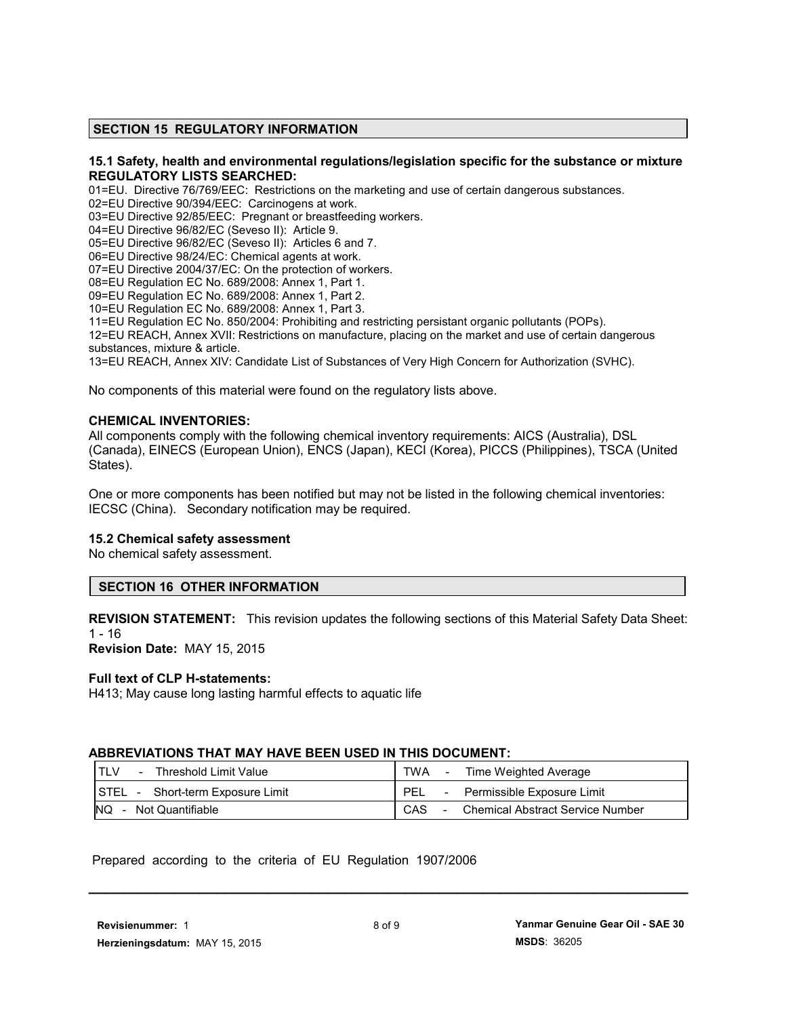#### **SECTION 15 REGULATORY INFORMATION**

#### **15.1 Safety, health and environmental regulations/legislation specific for the substance or mixture REGULATORY LISTS SEARCHED:**

01=EU. Directive 76/769/EEC: Restrictions on the marketing and use of certain dangerous substances. 02=EU Directive 90/394/EEC: Carcinogens at work.

03=EU Directive 92/85/EEC: Pregnant or breastfeeding workers.

04=EU Directive 96/82/EC (Seveso II): Article 9.

05=EU Directive 96/82/EC (Seveso II): Articles 6 and 7.

06=EU Directive 98/24/EC: Chemical agents at work.

07=EU Directive 2004/37/EC: On the protection of workers.

08=EU Regulation EC No. 689/2008: Annex 1, Part 1.

09=EU Regulation EC No. 689/2008: Annex 1, Part 2.

10=EU Regulation EC No. 689/2008: Annex 1, Part 3.

11=EU Regulation EC No. 850/2004: Prohibiting and restricting persistant organic pollutants (POPs). 12=EU REACH, Annex XVII: Restrictions on manufacture, placing on the market and use of certain dangerous

substances, mixture & article.

13=EU REACH, Annex XIV: Candidate List of Substances of Very High Concern for Authorization (SVHC).

No components of this material were found on the regulatory lists above.

#### **CHEMICAL INVENTORIES:**

All components comply with the following chemical inventory requirements: AICS (Australia), DSL (Canada), EINECS (European Union), ENCS (Japan), KECI (Korea), PICCS (Philippines), TSCA (United States).

One or more components has been notified but may not be listed in the following chemical inventories: IECSC (China). Secondary notification may be required.

#### **15.2 Chemical safety assessment**

No chemical safety assessment.

#### **SECTION 16 OTHER INFORMATION**

**REVISION STATEMENT:** This revision updates the following sections of this Material Safety Data Sheet:  $1 - 16$ 

**Revision Date:** MAY 15, 2015

#### **Full text of CLP H-statements:**

H413; May cause long lasting harmful effects to aquatic life

#### **ABBREVIATIONS THAT MAY HAVE BEEN USED IN THIS DOCUMENT:**

| Threshold Limit Value            | TWA                                                |
|----------------------------------|----------------------------------------------------|
| $\overline{\phantom{a}}$         | Time Weighted Average                              |
| STEL - Short-term Exposure Limit | <b>PEL</b><br>Permissible Exposure Limit<br>$\sim$ |
| NQ.                              | CAS                                                |
| - Not Quantifiable               | <b>Chemical Abstract Service Number</b>            |

Prepared according to the criteria of EU Regulation 1907/2006